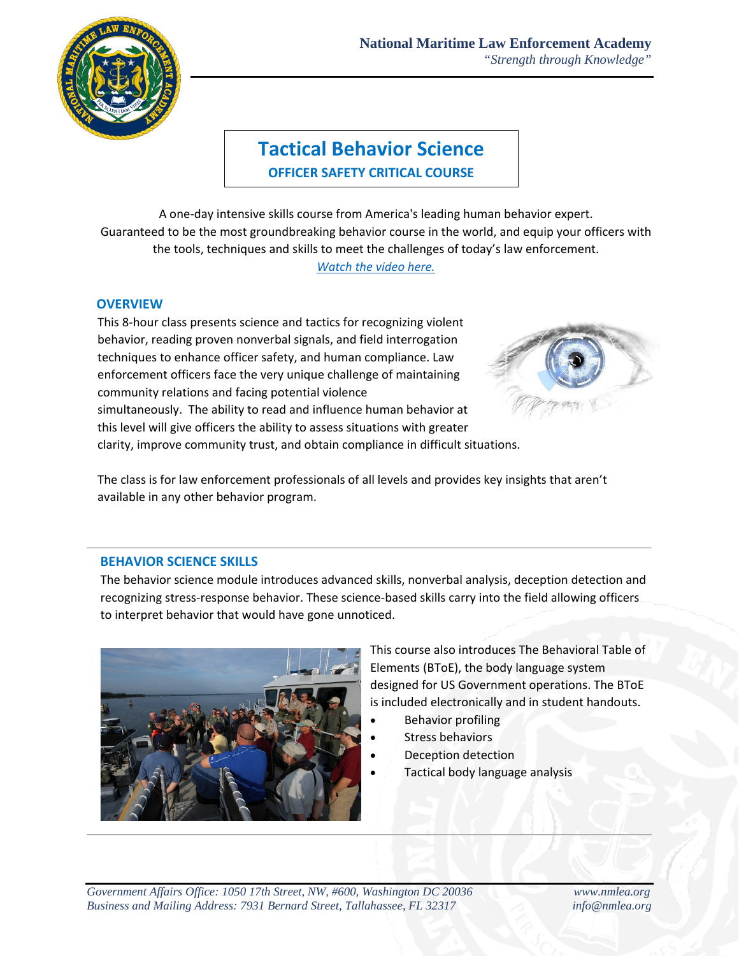

# **Tactical Behavior Science OFFICER SAFETY CRITICAL COURSE**

A one-day intensive skills course from America's leading human behavior expert. Guaranteed to be the most groundbreaking behavior course in the world, and equip your officers with the tools, techniques and skills to meet the challenges of today's law enforcement. *[Watch the video here.](https://youtu.be/MLn8Eip9c2w)*

### **OVERVIEW**

This 8-hour class presents science and tactics for recognizing violent behavior, reading proven nonverbal signals, and field interrogation techniques to enhance officer safety, and human compliance. Law enforcement officers face the very unique challenge of maintaining community relations and facing potential violence simultaneously. The ability to read and influence human behavior at this level will give officers the ability to assess situations with greater clarity, improve community trust, and obtain compliance in difficult situations.



The class is for law enforcement professionals of all levels and provides key insights that aren't available in any other behavior program.

#### **BEHAVIOR SCIENCE SKILLS**

The behavior science module introduces advanced skills, nonverbal analysis, deception detection and recognizing stress-response behavior. These science-based skills carry into the field allowing officers to interpret behavior that would have gone unnoticed.



This course also introduces The Behavioral Table of Elements (BToE), the body language system designed for US Government operations. The BToE is included electronically and in student handouts.

- Behavior profiling
- Stress behaviors
- Deception detection
- Tactical body language analysis